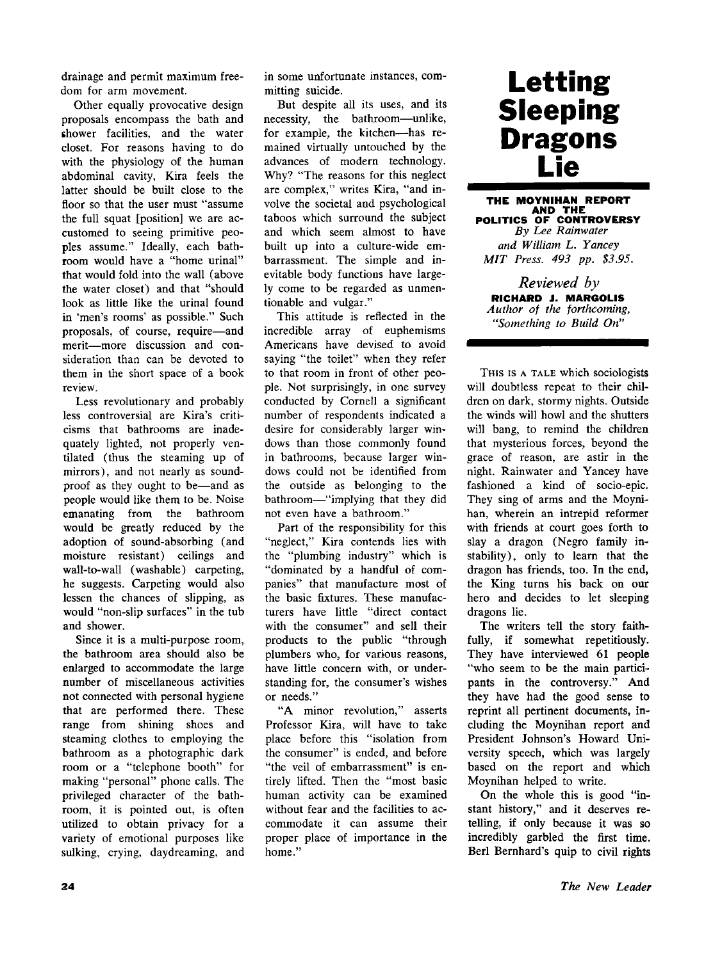drainage and permit maximum freedom for arm movement.

Other equally provocative design proposals encompass the bath and shower facilities, and the water closet. For reasons having to do with the physiology of the human abdominal cavity, Kira feels the latter should be built close to the floor so that the user must "assume the full squat [position] we are accustomed to seeing primitive peoples assume." Ideally, each bathroom would have a "home urinal" that would fold into the wall (above the water closet) and that "should look as little like the urinal found in 'men's rooms' as possible." Such proposals, of course, require—and merit—more discussion and consideration than can be devoted to them in the short space of a book review.

Less revolutionary and probably less controversial are Kira's criticisms that bathrooms are inadequately lighted, not properly ventilated (thus the steaming up of mirrors), and not nearly as soundproof as they ought to be—and as people would like them to be. Noise emanating from the bathroom would be greatly reduced by the adoption of sound-absorbing (and moisture resistant) ceilings and wall-to-wall (washable) carpeting, he suggests. Carpeting would also lessen the chances of slipping, as would "non-slip surfaces" in the tub and shower.

Since it is a multi-purpose room, the bathroom area should also be enlarged to accommodate the large number of miscellaneous activities not connected with personal hygiene that are performed there. These range from shining shoes and steaming clothes to employing the bathroom as a photographic dark room or a "telephone booth" for making "personal" phone calls. The privileged character of the bathroom, it is pointed out, is often utilized to obtain privacy for a variety of emotional purposes like sulking, crying, daydreaming, and in some unfortunate instances, committing suicide.

But despite all its uses, and its necessity, the bathroom—unlike, for example, the kitchen—has remained virtually untouched by the advances of modern technology. Why? "The reasons for this neglect are complex," writes Kira, "and involve the societal and psychological taboos which surround the subject and which seem almost to have built up into a culture-wide embarrassment. The simple and inevitable body functions have largely come to be regarded as unmentionable and vulgar."

This attitude is reflected in the incredible array of euphemisms Americans have devised to avoid saying "the toilet" when they refer to that room in front of other people. Not surprisingly, in one survey conducted by Cornell a significant number of respondents indicated a desire for considerably larger windows than those commonly found in bathrooms, because larger windows could not be identified from the outside as belonging to the bathroom—"implying that they did not even have a bathroom."

Part of the responsibility for this "neglect," Kira contends lies with the "plumbing industry" which is "dominated by a handful of companies" that manufacture most of the basic fixtures. These manufacturers have little "direct contact with the consumer" and sell their products to the public "through plumbers who, for various reasons, have little concern with, or understanding for, the consumer's wishes or needs."

"A minor revolution," asserts Professor Kira, will have to take place before this "isolation from the consumer" is ended, and before "the veil of embarrassment" is entirely lifted. Then the "most basic human activity can be examined without fear and the facilities to accommodate it can assume their proper place of importance in the home."

## **Letting Sleeping Dragons Lie**

**THE MOYNIHAN REPORT A ND TH E POLITICS O F CONTROVERS Y**  *By Lee Rainwater and William L. Yancey MIT Press. 493 pp. \$3.95.* 

*Reviewed by*  **RICHARD J. MARGOLIS**  *Author of the forthcoming, "Something to Build On"* 

**THIS IS A TALE** which sociologists will doubtless repeat to their children on dark, stormy nights. Outside the winds will howl and the shutters will bang, to remind the children that mysterious forces, beyond the grace of reason, are astir in the night. Rainwater and Yancey have fashioned a kind of socio-epic. They sing of arms and the Moynihan, wherein an intrepid reformer with friends at court goes forth to slay a dragon (Negro family instability), only to learn that the dragon has friends, too. In the end, the King turns his back on our hero and decides to let sleeping dragons lie.

The writers tell the story faithfully, if somewhat repetitiously. They have interviewed 61 people "who seem to be the main participants in the controversy." And they have had the good sense to reprint all pertinent documents, including the Moynihan report and President Johnson's Howard University speech, which was largely based on the report and which Moynihan helped to write.

On the whole this is good "instant history," and it deserves retelling, if only because it was so incredibly garbled the first time. Berl Bernhard's quip to civil rights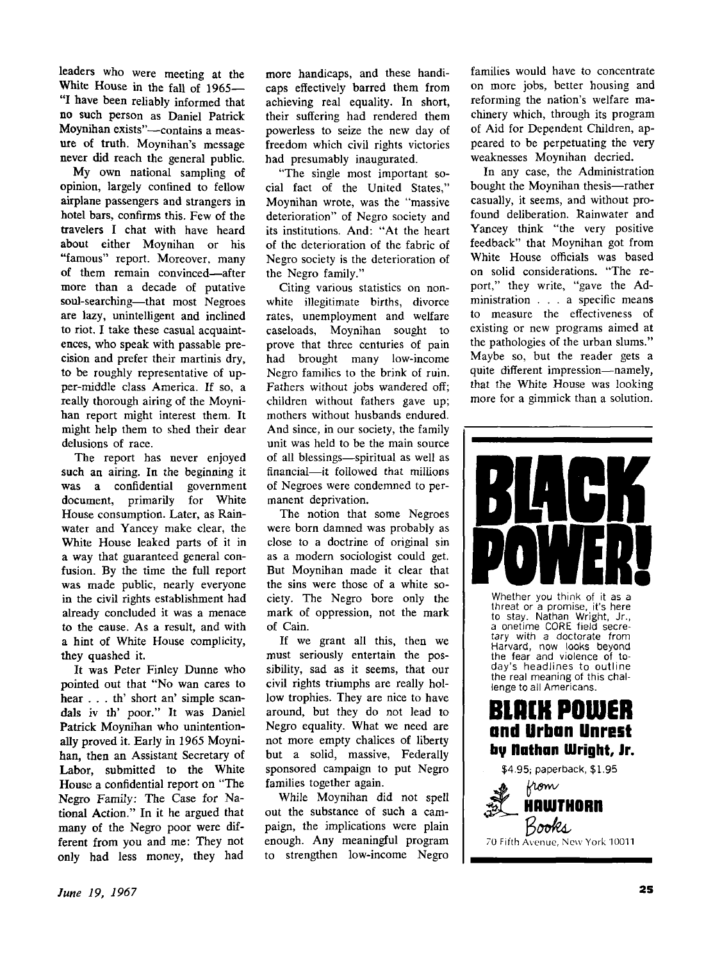leaders who were meeting at the White House in the fall of 1965— **"I** have been reliably informed that no such person as Daniel Patrick Moynihan exists"—contains a measure of truth. Moynihan's message never did reach the general public.

My own national sampling of opinion, largely confined to fellow airplane passengers and strangers in hotel bars, confirms this. Few of the travelers I chat with have heard about either Moynihan or his "famous" report. Moreover, many of them remain convinced—after more than a decade of putative soul-searching—that most Negroes are lazy, unintelligent and inclined to riot. I take these casual acquaintences, who speak with passable precision and prefer their martinis dry, to be roughly representative of upper-middle class America. If so, a really thorough airing of the Moynihan report might interest them. It might help them to shed their dear delusions of race.

The report has never enjoyed such an airing. In the beginning it was a confidential government document, primarily for White House consumption. Later, as Rainwater and Yancey make clear, the White House leaked parts of it in a way that guaranteed general confusion. By the time the full report was made public, nearly everyone in the civil rights establishment had already concluded it was a menace to the cause. As a result, and with a hint of White House complicity, they quashed it.

It was Peter Finley Dunne who pointed out that "No wan cares to hear . . . th' short an' simple scandals iv th' poor." It was Daniel Patrick Moynihan who unintentionally proved it. Early in 1965 Moynihan, then an Assistant Secretary of Labor, submitted to the White House a confidential report on "The Negro Family: The Case for National Action." In it he argued that many of the Negro poor were different from you and me: They not only had less money, they had

more handicaps, and these handicaps effectively barred them from achieving real equality. In short, their suffering had rendered them powerless to seize the new day of freedom which civil rights victories had presumably inaugurated.

"The single most important social fact of the United States," Moynihan wrote, was the "massive deterioration" of Negro society and its institutions. And: "At the heart of the deterioration of the fabric of Negro society is the deterioration of the Negro family."

Citing various statistics on nonwhite illegitimate births, divorce rates, unemployment and welfare caseloads, Moynihan sought to prove that three centuries of pain had brought many low-income Negro families to the brink of ruin. Fathers without jobs wandered off; children without fathers gave up; mothers without husbands endured. And since, in our society, the family unit was held to be the main source of all blessings—spiritual as well as financial—it followed that millions of Negroes were condemned to permanent deprivation.

The notion that some Negroes were born damned was probably as close to a doctrine of original sin as a modern sociologist could get. But Moynihan made it clear that the sins were those of a white society. The Negro bore only the mark of oppression, not the mark of Cain.

If we grant all this, then we must seriously entertain the possibility, sad as it seems, that our civil rights triumphs are really hollow trophies. They are nice to have around, but they do not lead to Negro equality. What we need are not more empty chalices of liberty but a solid, massive, Federally sponsored campaign to put Negro families together again.

While Moynihan did not spell out the substance of such a campaign, the implications were plain enough. Any meaningful program to strengthen low-income Negro

families would have to concentrate on more jobs, better housing and reforming the nation's welfare machinery which, through its program of Aid for Dependent Children, appeared to be perpetuating the very weaknesses Moynihan decried.

In any case, the Administration bought the Moynihan thesis—rather casually, it seems, and without profound deliberation. Rainwater and Yancey think "the very positive feedback" that Moynihan got from White House officials was based on solid considerations. "The report," they write, "gave the Administration .. . a specific means to measure the effectiveness of existing or new programs aimed at the pathologies of the urban slums." Maybe so, but the reader gets a quite different impression—namely, that the White House was looking more for a gimmick than a solution.



Whether you think of it as a threat or a promise, it's here to stay. Nathan Wright, Jr., a onetime CORE field secretary with a doctorate from Harvard, now looks beyond the fear and violence **of** today's headlines to outline the real meaning of this challenge to all Americans.



 $$4.95;$  paperback, \$1.95

**HAWTHORN** 

70 Fifth Avenue, New York 10011

Books